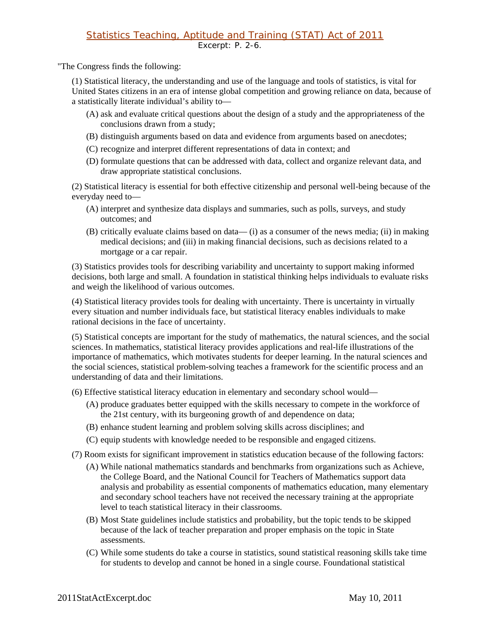## Statistics Teaching, Aptitude and Training (STAT) Act of 2011 Excerpt: P. 2-6.

"The Congress finds the following:

(1) Statistical literacy, the understanding and use of the language and tools of statistics, is vital for United States citizens in an era of intense global competition and growing reliance on data, because of a statistically literate individual's ability to—

- (A) ask and evaluate critical questions about the design of a study and the appropriateness of the conclusions drawn from a study;
- (B) distinguish arguments based on data and evidence from arguments based on anecdotes;
- (C) recognize and interpret different representations of data in context; and
- (D) formulate questions that can be addressed with data, collect and organize relevant data, and draw appropriate statistical conclusions.

(2) Statistical literacy is essential for both effective citizenship and personal well-being because of the everyday need to—

- (A) interpret and synthesize data displays and summaries, such as polls, surveys, and study outcomes; and
- (B) critically evaluate claims based on data— (i) as a consumer of the news media; (ii) in making medical decisions; and (iii) in making financial decisions, such as decisions related to a mortgage or a car repair.

(3) Statistics provides tools for describing variability and uncertainty to support making informed decisions, both large and small. A foundation in statistical thinking helps individuals to evaluate risks and weigh the likelihood of various outcomes.

(4) Statistical literacy provides tools for dealing with uncertainty. There is uncertainty in virtually every situation and number individuals face, but statistical literacy enables individuals to make rational decisions in the face of uncertainty.

(5) Statistical concepts are important for the study of mathematics, the natural sciences, and the social sciences. In mathematics, statistical literacy provides applications and real-life illustrations of the importance of mathematics, which motivates students for deeper learning. In the natural sciences and the social sciences, statistical problem-solving teaches a framework for the scientific process and an understanding of data and their limitations.

- (6) Effective statistical literacy education in elementary and secondary school would—
	- (A) produce graduates better equipped with the skills necessary to compete in the workforce of the 21st century, with its burgeoning growth of and dependence on data;
	- (B) enhance student learning and problem solving skills across disciplines; and
	- (C) equip students with knowledge needed to be responsible and engaged citizens.
- (7) Room exists for significant improvement in statistics education because of the following factors:
	- (A) While national mathematics standards and benchmarks from organizations such as Achieve, the College Board, and the National Council for Teachers of Mathematics support data analysis and probability as essential components of mathematics education, many elementary and secondary school teachers have not received the necessary training at the appropriate level to teach statistical literacy in their classrooms.
	- (B) Most State guidelines include statistics and probability, but the topic tends to be skipped because of the lack of teacher preparation and proper emphasis on the topic in State assessments.
	- (C) While some students do take a course in statistics, sound statistical reasoning skills take time for students to develop and cannot be honed in a single course. Foundational statistical